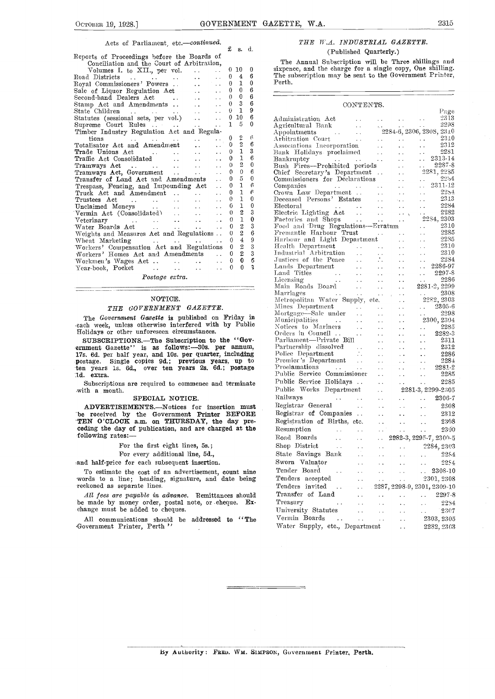#### Acts of Parliament, etc .- continued. £ s. d.

|  | Reports of Proceedings before the Boards of |  |
|--|---------------------------------------------|--|
|  | Conciliation and the Court of Arbitration,  |  |

| Concination and the Court of Arbitration,                                                                                                                                                                                                               |                                      |                            |                         |               |
|---------------------------------------------------------------------------------------------------------------------------------------------------------------------------------------------------------------------------------------------------------|--------------------------------------|----------------------------|-------------------------|---------------|
| Volumes I. to XII., per vol.<br>$\ddot{\phantom{a}}$                                                                                                                                                                                                    |                                      | 0, 10                      | 0                       | six           |
| $\ddot{\phantom{a}}$                                                                                                                                                                                                                                    | 0                                    | $\overline{4}$             | 6                       | Th            |
| Royal Commissioners' Powers                                                                                                                                                                                                                             | $\bf{0}$                             | $\mathbf{1}$               | $\mathbf{0}$            | Per           |
| Sale of Liquor Regulation Act                                                                                                                                                                                                                           | 0                                    | $\mathbf{0}$               | 6                       |               |
| Second-hand Dealers Act                                                                                                                                                                                                                                 | 0                                    | 0                          | 6                       |               |
| Stamp Act and Amendments<br>$\ddot{\phantom{a}}$                                                                                                                                                                                                        | 0                                    | $\overline{3}$             | 6                       |               |
| $\ddot{\phantom{a}}$                                                                                                                                                                                                                                    | $\theta$                             | $\mathbf{1}$               | 9                       |               |
| State Children<br>Statutes (sessional sets, per vol.)                                                                                                                                                                                                   | $\bf{0}$                             | 10                         | 6                       | Αd            |
|                                                                                                                                                                                                                                                         | $\mathbf{1}$<br>$\ddot{\phantom{a}}$ | 5                          | $\theta$                | Аg            |
| Timber Industry Regulation Act and Regula-                                                                                                                                                                                                              |                                      |                            |                         | Aр            |
| tions<br>$\mathcal{L}^{\mathcal{A}}$ . The contribution of the contribution of the contribution of $\mathcal{L}^{\mathcal{A}}$                                                                                                                          | 0                                    | $\overline{2}$             | 6                       | Arl           |
| Totalisator Act and Amendment                                                                                                                                                                                                                           | 0                                    | $\overline{2}$             | 6                       | Ast           |
|                                                                                                                                                                                                                                                         | $\theta$                             | $\mathbf{I}$               | 3                       | $_{\rm Ba}$   |
|                                                                                                                                                                                                                                                         | 0                                    | $\mathbf{1}$               | 6                       | Bа            |
|                                                                                                                                                                                                                                                         | $\theta$                             | $\overline{2}$             | $\bf{0}$                | $_{\rm Bu}$   |
| Tramways Act<br>Tramways Act, Government                                                                                                                                                                                                                | 0<br>$\ddot{\phantom{0}}$            | $\theta$                   | 6                       | Chi           |
| Transfer of Land Act and Amendments                                                                                                                                                                                                                     | 0<br>$\ddot{\phantom{a}}$            | 5                          | $\bf{0}$                | $_{\rm{Coi}}$ |
| Trespass, Fencing, and Impounding Act                                                                                                                                                                                                                   | 0                                    | $\mathbf{1}$               | 6                       | Coı           |
| Truck Act and Amendment                                                                                                                                                                                                                                 | 0<br>$\ddot{\phantom{a}}$            | $\mathbf{1}$               | $\epsilon$              | $_{\rm Cr}$   |
|                                                                                                                                                                                                                                                         | 0<br>$\sim$ $\sim$                   | $\mathbf{1}$               | $\mathbf{0}$            | De            |
|                                                                                                                                                                                                                                                         | 6<br>$\ddot{\phantom{0}}$            | $\mathbf{1}$               | $\mathbf{0}$            | $_{\rm E1c}$  |
| Vermin Act (Consolidated)                                                                                                                                                                                                                               | $\theta$<br>$\ddot{\phantom{a}}$     | $\overline{2}$             | 3                       | Ele           |
| Veterinary<br>$\mathcal{L}^{\mathcal{L}}$ . The contract of the contract of the contract of the contract of the contract of the contract of the contract of the contract of the contract of the contract of the contract of the contract of the contrac | $\theta$                             | $\mathbf{I}$               | $\mathbf 0$             | Fa            |
|                                                                                                                                                                                                                                                         | 0<br>$\ddot{\phantom{a}}$            | $\overline{2}$             | 3                       | $\rm{Fe}$     |
| Weights and Measures Act and Regulations                                                                                                                                                                                                                | $\theta$                             | $\overline{2}$             | 6                       | $\Gamma$      |
| Wheat Marketing<br>and a series of the series of the series of                                                                                                                                                                                          | $\Omega$                             | 4                          | 9                       | Ha            |
| Workers' Compensation Act and Regulations                                                                                                                                                                                                               |                                      | $\overline{2}$<br>$\bf{0}$ | 3                       | He            |
| Workers' Homes Act and Amendments                                                                                                                                                                                                                       |                                      | $\overline{2}$<br>0        | $\overline{\mathbf{3}}$ | Ind           |
|                                                                                                                                                                                                                                                         |                                      | 0<br>0                     | 6                       | Ju            |
| Year-book, Pocket                                                                                                                                                                                                                                       | $\Omega$                             | $\mathbf{0}$               | 3                       | La            |
| $D_{\text{non-1}}$ and $D_{\text{non-1}}$                                                                                                                                                                                                               |                                      |                            |                         | La            |
|                                                                                                                                                                                                                                                         |                                      |                            |                         |               |

Postage extra.

### NOTICE.

## THE GOVERNMENT GAZETTE.

The Government Gazette is published on Friday in each week, unless otherwise interfered with by Public  $\frac{N}{N}$  Holidays or other unforeseen circumstances.

SUBSCRIPTIONS.—The Subscription to the "Gov-<br>ernment Gazette" is as follows:—30s. per annum, ernment Gazette" is as follows:-30s. per annum, Parti 17s. 6d. per half year, and 10s. per quarter, including Police postage. Single copies 9d.; previous years, up to Premie ten years is. 6d., over ten years 2s. 6d.; postage Pro-1d. extra.

Subscriptions are required to commence and terminate with a month.

#### SPECIAL NOTICE.

ADVERTISEMENTS.--Notices for insertion must be received by the Government Printer BEFORE Registrar \*TEN O'CLOCK a.m. on THURSDAY, the day pre- ceding the day of publication, and are charged at the ceding the day of publication, and are charged at the following rates:-

For the first eight lines, 5s.;

For every additional line, 5d.,

and half-price for each subsequent insertion.

To estimate the cost of an advertisement, count nine words to a line; heading, signature, and date being reckoned as separate lines.

All fees are payable in advance. Remittances should be made by money order, postal note, or cheque. Exchange must be added to cheques.

All communications should be addressed to "The -Government Printer, Perth "

# THE W.A. INDUSTRIAL GAZETTE. (Published Quarterly.)

The Annual Subscription will be Three shillings and sixpence, and the charge for a single copy, One shilling. The subscription may be sent to the Government Printer, Perth.

| CONTENTS.                                                                                                                                                                                                                                          |                              |                              |                                                                   |  |
|----------------------------------------------------------------------------------------------------------------------------------------------------------------------------------------------------------------------------------------------------|------------------------------|------------------------------|-------------------------------------------------------------------|--|
|                                                                                                                                                                                                                                                    |                              |                              | $P$ ::ge                                                          |  |
|                                                                                                                                                                                                                                                    |                              |                              |                                                                   |  |
|                                                                                                                                                                                                                                                    |                              |                              |                                                                   |  |
|                                                                                                                                                                                                                                                    |                              |                              |                                                                   |  |
|                                                                                                                                                                                                                                                    |                              |                              |                                                                   |  |
|                                                                                                                                                                                                                                                    |                              |                              |                                                                   |  |
|                                                                                                                                                                                                                                                    |                              |                              |                                                                   |  |
|                                                                                                                                                                                                                                                    |                              |                              |                                                                   |  |
|                                                                                                                                                                                                                                                    |                              |                              | 2281, 2235                                                        |  |
|                                                                                                                                                                                                                                                    |                              |                              | 2254                                                              |  |
|                                                                                                                                                                                                                                                    |                              |                              | 2311-12                                                           |  |
| Chief Secretary's Department<br>Commissioners for Declarations<br>Commissioners for Declarations<br>Companies<br>Companies<br>Companies<br>Chief Secretary's Department<br>Deceased Persons<br>Electric Lighting<br>Rectoral Lighting<br>Rectoral  |                              |                              | - 2254                                                            |  |
|                                                                                                                                                                                                                                                    |                              |                              | 2313                                                              |  |
|                                                                                                                                                                                                                                                    |                              |                              | 2284                                                              |  |
|                                                                                                                                                                                                                                                    |                              |                              |                                                                   |  |
| Electoral Marshall (1984)<br>Electric Lighting Act (1988)<br>Factories and Shops (1988)<br>Food and Drug Regulations—Erratum (1989)<br>2310<br>2310<br>2310                                                                                        |                              |                              |                                                                   |  |
|                                                                                                                                                                                                                                                    |                              |                              | $\ldots$ 2310                                                     |  |
| Fremantle Harbour Trust                                                                                                                                                                                                                            |                              |                              | - 2285<br>$\sim$ .                                                |  |
|                                                                                                                                                                                                                                                    |                              |                              |                                                                   |  |
|                                                                                                                                                                                                                                                    |                              |                              |                                                                   |  |
|                                                                                                                                                                                                                                                    |                              |                              |                                                                   |  |
|                                                                                                                                                                                                                                                    |                              |                              |                                                                   |  |
| Fremantie Harbour Trust<br>Harbour and Light Department<br>Health Department<br>Harbour and Light Department<br>Halbour and Lepitration<br>Justices of the Peace<br>Flands Department<br>Lands Department<br>Lands Department<br>Land Titles<br>Le |                              |                              |                                                                   |  |
|                                                                                                                                                                                                                                                    |                              |                              |                                                                   |  |
|                                                                                                                                                                                                                                                    |                              |                              |                                                                   |  |
|                                                                                                                                                                                                                                                    |                              |                              |                                                                   |  |
|                                                                                                                                                                                                                                                    |                              |                              |                                                                   |  |
|                                                                                                                                                                                                                                                    |                              |                              | $\therefore$ 2305-6                                               |  |
|                                                                                                                                                                                                                                                    |                              |                              |                                                                   |  |
| Metropontan water supply, etc.<br>Mines Department<br>Mortgage—Sale under<br>Mortgage—Sale under<br>Municipalities<br>Municipalities<br>Corders in Council<br>Corders in Council<br>Corders in Council<br>Parliament—Private Bill<br>Parliament—Pr |                              |                              |                                                                   |  |
|                                                                                                                                                                                                                                                    |                              |                              |                                                                   |  |
|                                                                                                                                                                                                                                                    |                              |                              |                                                                   |  |
|                                                                                                                                                                                                                                                    |                              |                              |                                                                   |  |
|                                                                                                                                                                                                                                                    |                              |                              |                                                                   |  |
|                                                                                                                                                                                                                                                    |                              |                              |                                                                   |  |
|                                                                                                                                                                                                                                                    |                              |                              |                                                                   |  |
|                                                                                                                                                                                                                                                    |                              |                              |                                                                   |  |
|                                                                                                                                                                                                                                                    |                              |                              |                                                                   |  |
| Public Service Holidays                                                                                                                                                                                                                            | $\mathcal{L}(\mathcal{L})$   | $\mathcal{L}^{\text{max}}$   | 2285<br>$\sim$ $\sim$                                             |  |
| Public Works Department                                                                                                                                                                                                                            | $\sim 10$                    |                              | 2281-3, 2299-2305                                                 |  |
| Railways<br><b>CALL CONTRACT</b>                                                                                                                                                                                                                   | $\sim 10^{-11}$              |                              | 2306-7<br>$\sim 100$ km s $^{-1}$                                 |  |
| $\sim 100$<br>Registrar General                                                                                                                                                                                                                    |                              |                              | 2308                                                              |  |
|                                                                                                                                                                                                                                                    | $\sim 10^{-1}$               | $\ddot{\phantom{0}}$         | $\sim 10^{-1}$                                                    |  |
| Registrar of Companies                                                                                                                                                                                                                             | $\mathcal{L}(\mathbf{r})$    | $\ddot{\phantom{0}}$         | 2312<br>$\sim$ $\sim$                                             |  |
| Registration of Births, etc.                                                                                                                                                                                                                       | $\ddot{\phantom{a}}$ .       | $\ddot{\phantom{0}}$         | 2308<br>$\sim$ $\sim$                                             |  |
| Resumption<br>$\mathcal{A}(\mathbf{x})$ , and $\mathcal{A}(\mathbf{x})$                                                                                                                                                                            | $\sim$ $\sim$                | $\sim$                       | 2300<br>$\mathcal{L}(\mathcal{A})$ and $\mathcal{L}(\mathcal{A})$ |  |
| Road Boards<br>$\Delta\Delta\sim 10^4$<br>$\mathbf{1}$ , $\mathbf{1}$                                                                                                                                                                              |                              |                              | $\ldots$ 2282-3, 2295-7, 2300-5                                   |  |
| $\sim 100$<br>Shop District<br>$\sim 100$ km s $^{-1}$                                                                                                                                                                                             | $\Delta\sim 10^{-11}$        | $\mathcal{L}(\mathcal{L})$ . | 2284, 2303                                                        |  |
| State Savings Bank                                                                                                                                                                                                                                 | $\ddot{\phantom{1}}$ .       | $\sim 10^{-10}$              | 2284<br>$\mathcal{L}(\mathcal{A})$ and $\mathcal{L}(\mathcal{A})$ |  |
| Sworn Valuator<br>$\sim 10^{-10}$                                                                                                                                                                                                                  |                              |                              | 2254                                                              |  |
|                                                                                                                                                                                                                                                    | $\ddot{\phantom{0}}$         | $\ddot{\phantom{0}}$         | $\ddot{\phantom{a}}$ .                                            |  |
| Tender Board<br>$\ddot{\phantom{0}}$                                                                                                                                                                                                               | $\ddot{\phantom{0}}$         | $\sim$ $\sim$                | 2308-10<br>i,                                                     |  |
| Tenders accepted<br>$\ddot{\phantom{0}}$                                                                                                                                                                                                           | $\mathcal{L}(\mathcal{A})$ . | $\sim 100$                   | 2301, 2308                                                        |  |
| Tenders invited<br>$\sim$ $\sim$<br>$\sim 10^{-1}$                                                                                                                                                                                                 |                              |                              | $2287, 2298-9, 2301, 2309-10$                                     |  |
| Transfer of Land<br>$\ddot{\phantom{a}}$                                                                                                                                                                                                           | $\ddot{\phantom{0}}$         | $\ddot{\phantom{0}}$         | 2297-8<br>i.                                                      |  |
| Treasury<br>. .<br>$\ddot{\phantom{0}}$                                                                                                                                                                                                            | $\ddotsc$                    | $\ddot{\phantom{0}}$         | 2254<br>i.                                                        |  |
| University Statutes<br>$\ddot{\phantom{0}}$                                                                                                                                                                                                        | $\sim$ $\sim$                | $\ddotsc$                    | 2307<br>. .                                                       |  |
| Vermin Boards<br>$\mathcal{L}(\mathcal{L})$<br>$\sim 10^{-1}$                                                                                                                                                                                      |                              |                              | 2303, 2305                                                        |  |
| Water Supply, etc., Department                                                                                                                                                                                                                     | $\sim$ .                     | $\ddot{\phantom{0}}$         |                                                                   |  |
|                                                                                                                                                                                                                                                    |                              | $\ddot{\phantom{a}}$         | 2282, 2363                                                        |  |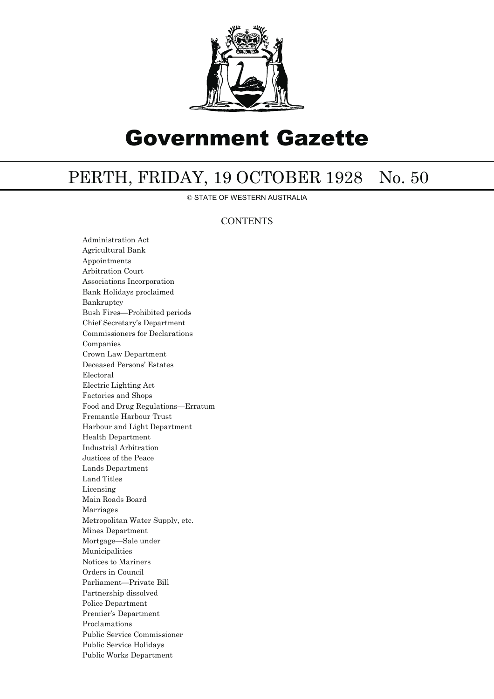

# Government Gazette

# PERTH, FRIDAY, 19 OCTOBER 1928 No. 50

© STATE OF WESTERN AUSTRALIA

# **CONTENTS**

Administration Act Agricultural Bank Appointments Arbitration Court Associations Incorporation Bank Holidays proclaimed Bankruptcy Bush Fires—Prohibited periods Chief Secretary's Department Commissioners for Declarations Companies Crown Law Department Deceased Persons' Estates Electoral Electric Lighting Act Factories and Shops Food and Drug Regulations—Erratum Fremantle Harbour Trust Harbour and Light Department Health Department Industrial Arbitration Justices of the Peace Lands Department Land Titles Licensing Main Roads Board Marriages Metropolitan Water Supply, etc. Mines Department Mortgage—Sale under Municipalities Notices to Mariners Orders in Council Parliament—Private Bill Partnership dissolved Police Department Premier's Department Proclamations Public Service Commissioner Public Service Holidays Public Works Department